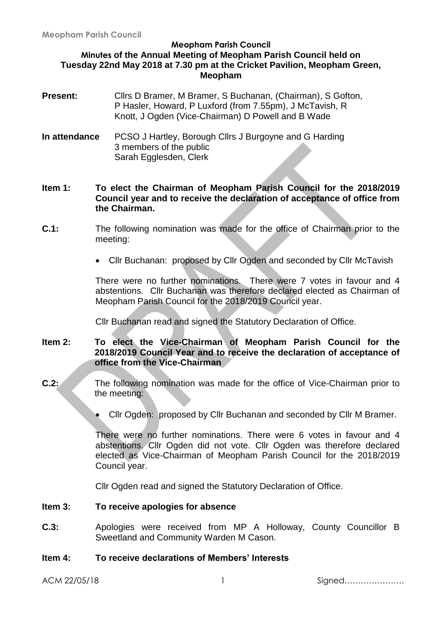#### **Meopham Parish Council Minutes of the Annual Meeting of Meopham Parish Council held on Tuesday 22nd May 2018 at 7.30 pm at the Cricket Pavilion, Meopham Green, Meopham**

- **Present:** Clirs D Bramer, M Bramer, S Buchanan, (Chairman), S Gofton, P Hasler, Howard, P Luxford (from 7.55pm), J McTavish, R Knott, J Ogden (Vice-Chairman) D Powell and B Wade
- **In attendance** PCSO J Hartley, Borough Cllrs J Burgoyne and G Harding 3 members of the public Sarah Egglesden, Clerk

**Item 1: To elect the Chairman of Meopham Parish Council for the 2018/2019 Council year and to receive the declaration of acceptance of office from the Chairman.**

- **C.1:** The following nomination was made for the office of Chairman prior to the meeting:
	- Cllr Buchanan: proposed by Cllr Ogden and seconded by Cllr McTavish

There were no further nominations. There were 7 votes in favour and 4 abstentions. Cllr Buchanan was therefore declared elected as Chairman of Meopham Parish Council for the 2018/2019 Council year.

Cllr Buchanan read and signed the Statutory Declaration of Office.

# **Item 2: To elect the Vice-Chairman of Meopham Parish Council for the 2018/2019 Council Year and to receive the declaration of acceptance of office from the Vice-Chairman**

- **C.2:** The following nomination was made for the office of Vice-Chairman prior to the meeting:
	- Cllr Ogden: proposed by Cllr Buchanan and seconded by Cllr M Bramer.

There were no further nominations. There were 6 votes in favour and 4 abstentions. Cllr Ogden did not vote. Cllr Ogden was therefore declared elected as Vice-Chairman of Meopham Parish Council for the 2018/2019 Council year.

Cllr Ogden read and signed the Statutory Declaration of Office.

#### **Item 3: To receive apologies for absence**

**C.3:** Apologies were received from MP A Holloway, County Councillor B Sweetland and Community Warden M Cason.

#### **Item 4: To receive declarations of Members' Interests**

ACM 22/05/18 1 Signed………………….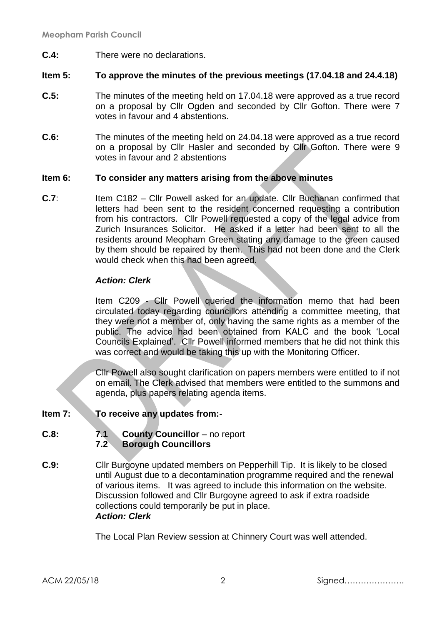**C.4:** There were no declarations.

#### **Item 5: To approve the minutes of the previous meetings (17.04.18 and 24.4.18)**

- **C.5:** The minutes of the meeting held on 17.04.18 were approved as a true record on a proposal by Cllr Ogden and seconded by Cllr Gofton. There were 7 votes in favour and 4 abstentions.
- **C.6:** The minutes of the meeting held on 24.04.18 were approved as a true record on a proposal by Cllr Hasler and seconded by Cllr Gofton. There were 9 votes in favour and 2 abstentions

#### **Item 6: To consider any matters arising from the above minutes**

**C.7**: Item C182 – Cllr Powell asked for an update. Cllr Buchanan confirmed that letters had been sent to the resident concerned requesting a contribution from his contractors. Cllr Powell requested a copy of the legal advice from Zurich Insurances Solicitor. He asked if a letter had been sent to all the residents around Meopham Green stating any damage to the green caused by them should be repaired by them. This had not been done and the Clerk would check when this had been agreed.

#### *Action: Clerk*

Item C209 - Cllr Powell queried the information memo that had been circulated today regarding councillors attending a committee meeting, that they were not a member of, only having the same rights as a member of the public. The advice had been obtained from KALC and the book 'Local Councils Explained'. Cllr Powell informed members that he did not think this was correct and would be taking this up with the Monitoring Officer.

Cllr Powell also sought clarification on papers members were entitled to if not on email. The Clerk advised that members were entitled to the summons and agenda, plus papers relating agenda items.

- **Item 7: To receive any updates from:-**
- **C.8: 7.1 County Councillor** no report **7.2 Borough Councillors**
- **C.9:** Cllr Burgoyne updated members on Pepperhill Tip. It is likely to be closed until August due to a decontamination programme required and the renewal of various items. It was agreed to include this information on the website. Discussion followed and Cllr Burgoyne agreed to ask if extra roadside collections could temporarily be put in place. *Action: Clerk*

The Local Plan Review session at Chinnery Court was well attended.

ACM 22/05/18 2 Signed………………….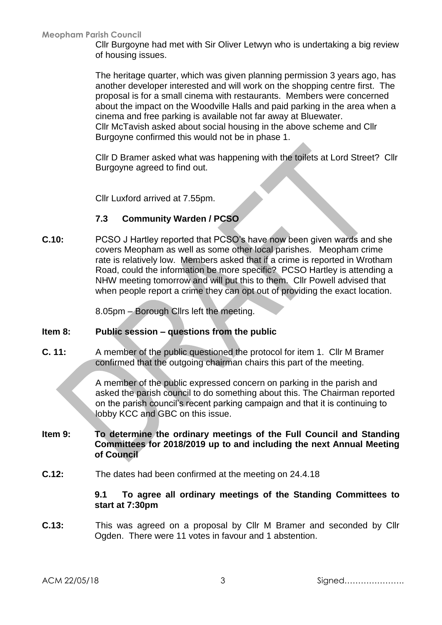Cllr Burgoyne had met with Sir Oliver Letwyn who is undertaking a big review of housing issues.

The heritage quarter, which was given planning permission 3 years ago, has another developer interested and will work on the shopping centre first. The proposal is for a small cinema with restaurants. Members were concerned about the impact on the Woodville Halls and paid parking in the area when a cinema and free parking is available not far away at Bluewater. Cllr McTavish asked about social housing in the above scheme and Cllr Burgoyne confirmed this would not be in phase 1.

Cllr D Bramer asked what was happening with the toilets at Lord Street? Cllr Burgoyne agreed to find out.

Cllr Luxford arrived at 7.55pm.

# **7.3 Community Warden / PCSO**

**C.10:** PCSO J Hartley reported that PCSO's have now been given wards and she covers Meopham as well as some other local parishes. Meopham crime rate is relatively low. Members asked that if a crime is reported in Wrotham Road, could the information be more specific? PCSO Hartley is attending a NHW meeting tomorrow and will put this to them. Cllr Powell advised that when people report a crime they can opt out of providing the exact location.

8.05pm – Borough Cllrs left the meeting.

### **Item 8: Public session – questions from the public**

**C. 11:** A member of the public questioned the protocol for item 1. Cllr M Bramer confirmed that the outgoing chairman chairs this part of the meeting.

> A member of the public expressed concern on parking in the parish and asked the parish council to do something about this. The Chairman reported on the parish council's recent parking campaign and that it is continuing to lobby KCC and GBC on this issue.

#### **Item 9: To determine the ordinary meetings of the Full Council and Standing Committees for 2018/2019 up to and including the next Annual Meeting of Council**

**C.12:** The dates had been confirmed at the meeting on 24.4.18

**9.1 To agree all ordinary meetings of the Standing Committees to start at 7:30pm**

**C.13:** This was agreed on a proposal by Cllr M Bramer and seconded by Cllr Ogden. There were 11 votes in favour and 1 abstention.

ACM 22/05/18 3 Signed………………….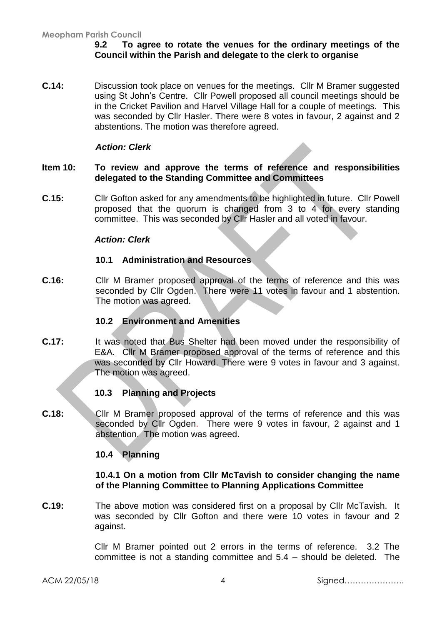### **9.2 To agree to rotate the venues for the ordinary meetings of the Council within the Parish and delegate to the clerk to organise**

**C.14:** Discussion took place on venues for the meetings. Cllr M Bramer suggested using St John's Centre. Cllr Powell proposed all council meetings should be in the Cricket Pavilion and Harvel Village Hall for a couple of meetings. This was seconded by Cllr Hasler. There were 8 votes in favour, 2 against and 2 abstentions. The motion was therefore agreed.

#### *Action: Clerk*

#### **Item 10: To review and approve the terms of reference and responsibilities delegated to the Standing Committee and Committees**

**C.15:** Cllr Gofton asked for any amendments to be highlighted in future. Cllr Powell proposed that the quorum is changed from 3 to 4 for every standing committee. This was seconded by Cllr Hasler and all voted in favour.

#### *Action: Clerk*

#### **10.1 Administration and Resources**

**C.16:** Cllr M Bramer proposed approval of the terms of reference and this was seconded by Cllr Ogden. There were 11 votes in favour and 1 abstention. The motion was agreed.

# **10.2 Environment and Amenities**

**C.17:** It was noted that Bus Shelter had been moved under the responsibility of E&A. Cllr M Bramer proposed approval of the terms of reference and this was seconded by Cllr Howard. There were 9 votes in favour and 3 against. The motion was agreed.

#### **10.3 Planning and Projects**

**C.18:** Cllr M Bramer proposed approval of the terms of reference and this was seconded by Cllr Ogden. There were 9 votes in favour, 2 against and 1 abstention. The motion was agreed.

#### **10.4 Planning**

#### **10.4.1 On a motion from Cllr McTavish to consider changing the name of the Planning Committee to Planning Applications Committee**

**C.19:** The above motion was considered first on a proposal by Cllr McTavish. It was seconded by Cllr Gofton and there were 10 votes in favour and 2 against.

> Cllr M Bramer pointed out 2 errors in the terms of reference. 3.2 The committee is not a standing committee and 5.4 – should be deleted. The

ACM 22/05/18 4 Signed………………….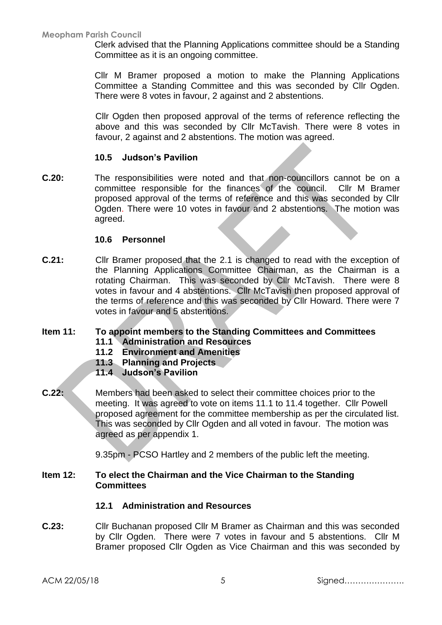Clerk advised that the Planning Applications committee should be a Standing Committee as it is an ongoing committee.

Cllr M Bramer proposed a motion to make the Planning Applications Committee a Standing Committee and this was seconded by Cllr Ogden. There were 8 votes in favour, 2 against and 2 abstentions.

Cllr Ogden then proposed approval of the terms of reference reflecting the above and this was seconded by Cllr McTavish. There were 8 votes in favour, 2 against and 2 abstentions. The motion was agreed.

# **10.5 Judson's Pavilion**

**C.20:** The responsibilities were noted and that non-councillors cannot be on a committee responsible for the finances of the council. Cllr M Bramer proposed approval of the terms of reference and this was seconded by Cllr Ogden. There were 10 votes in favour and 2 abstentions. The motion was agreed.

# **10.6 Personnel**

**C.21:** Cllr Bramer proposed that the 2.1 is changed to read with the exception of the Planning Applications Committee Chairman, as the Chairman is a rotating Chairman. This was seconded by Cllr McTavish. There were 8 votes in favour and 4 abstentions. Cllr McTavish then proposed approval of the terms of reference and this was seconded by Cllr Howard. There were 7 votes in favour and 5 abstentions.

# **Item 11: To appoint members to the Standing Committees and Committees**

- **11.1 Administration and Resources**
- **11.2 Environment and Amenities**
- **11.3 Planning and Projects**
- **11.4 Judson's Pavilion**
- **C.22:** Members had been asked to select their committee choices prior to the meeting. It was agreed to vote on items 11.1 to 11.4 together. Cllr Powell proposed agreement for the committee membership as per the circulated list. This was seconded by Cllr Ogden and all voted in favour. The motion was agreed as per appendix 1.

9.35pm - PCSO Hartley and 2 members of the public left the meeting.

# **Item 12: To elect the Chairman and the Vice Chairman to the Standing Committees**

# **12.1 Administration and Resources**

**C.23:** Cllr Buchanan proposed Cllr M Bramer as Chairman and this was seconded by Cllr Ogden. There were 7 votes in favour and 5 abstentions. Cllr M Bramer proposed Cllr Ogden as Vice Chairman and this was seconded by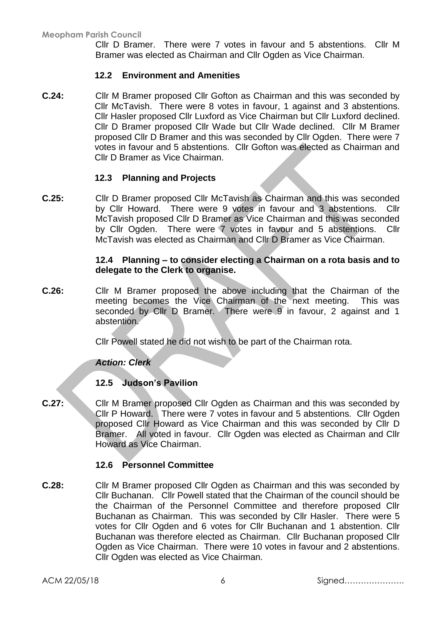Cllr D Bramer. There were 7 votes in favour and 5 abstentions. Cllr M Bramer was elected as Chairman and Cllr Ogden as Vice Chairman.

### **12.2 Environment and Amenities**

**C.24:** Cllr M Bramer proposed Cllr Gofton as Chairman and this was seconded by Cllr McTavish. There were 8 votes in favour, 1 against and 3 abstentions. Cllr Hasler proposed Cllr Luxford as Vice Chairman but Cllr Luxford declined. Cllr D Bramer proposed Cllr Wade but Cllr Wade declined. Cllr M Bramer proposed Cllr D Bramer and this was seconded by Cllr Ogden. There were 7 votes in favour and 5 abstentions. Cllr Gofton was elected as Chairman and Cllr D Bramer as Vice Chairman.

# **12.3 Planning and Projects**

**C.25:** Cllr D Bramer proposed Cllr McTavish as Chairman and this was seconded by Cllr Howard. There were 9 votes in favour and 3 abstentions. Cllr McTavish proposed Cllr D Bramer as Vice Chairman and this was seconded by Cllr Ogden. There were 7 votes in favour and 5 abstentions. Cllr McTavish was elected as Chairman and Cllr D Bramer as Vice Chairman.

#### **12.4 Planning – to consider electing a Chairman on a rota basis and to delegate to the Clerk to organise.**

**C.26:** Cllr M Bramer proposed the above including that the Chairman of the meeting becomes the Vice Chairman of the next meeting. This was seconded by Cllr D Bramer. There were 9 in favour, 2 against and 1 abstention.

Cllr Powell stated he did not wish to be part of the Chairman rota.

#### *Action: Clerk*

#### **12.5 Judson's Pavilion**

**C.27:** Cllr M Bramer proposed Cllr Ogden as Chairman and this was seconded by Cllr P Howard. There were 7 votes in favour and 5 abstentions. Cllr Ogden proposed Cllr Howard as Vice Chairman and this was seconded by Cllr D Bramer. All voted in favour. Cllr Ogden was elected as Chairman and Cllr Howard as Vice Chairman.

#### **12.6 Personnel Committee**

**C.28:** Cllr M Bramer proposed Cllr Ogden as Chairman and this was seconded by Cllr Buchanan. Cllr Powell stated that the Chairman of the council should be the Chairman of the Personnel Committee and therefore proposed Cllr Buchanan as Chairman. This was seconded by Cllr Hasler. There were 5 votes for Cllr Ogden and 6 votes for Cllr Buchanan and 1 abstention. Cllr Buchanan was therefore elected as Chairman. Cllr Buchanan proposed Cllr Ogden as Vice Chairman. There were 10 votes in favour and 2 abstentions. Cllr Ogden was elected as Vice Chairman.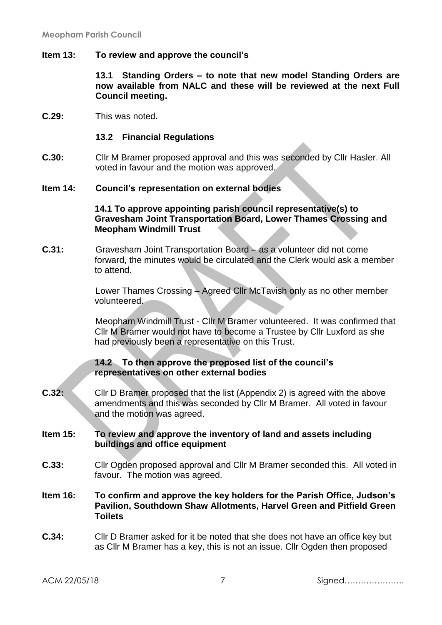#### **Item 13: To review and approve the council's**

**13.1 Standing Orders – to note that new model Standing Orders are now available from NALC and these will be reviewed at the next Full Council meeting.**

**C.29:** This was noted.

#### **13.2 Financial Regulations**

**C.30:** Cllr M Bramer proposed approval and this was seconded by Cllr Hasler. All voted in favour and the motion was approved.

#### **Item 14: Council's representation on external bodies**

#### **14.1 To approve appointing parish council representative(s) to Gravesham Joint Transportation Board, Lower Thames Crossing and Meopham Windmill Trust**

**C.31:** Gravesham Joint Transportation Board – as a volunteer did not come forward, the minutes would be circulated and the Clerk would ask a member to attend.

> Lower Thames Crossing – Agreed Cllr McTavish only as no other member volunteered.

Meopham Windmill Trust - Cllr M Bramer volunteered. It was confirmed that Cllr M Bramer would not have to become a Trustee by Cllr Luxford as she had previously been a representative on this Trust.

#### **14.2 To then approve the proposed list of the council's representatives on other external bodies**

**C.32:** Cllr D Bramer proposed that the list (Appendix 2) is agreed with the above amendments and this was seconded by Cllr M Bramer. All voted in favour and the motion was agreed.

#### **Item 15: To review and approve the inventory of land and assets including buildings and office equipment**

- **C.33:** Cllr Ogden proposed approval and Cllr M Bramer seconded this. All voted in favour. The motion was agreed.
- **Item 16: To confirm and approve the key holders for the Parish Office, Judson's Pavilion, Southdown Shaw Allotments, Harvel Green and Pitfield Green Toilets**
- **C.34:** Cllr D Bramer asked for it be noted that she does not have an office key but as Cllr M Bramer has a key, this is not an issue. Cllr Ogden then proposed

ACM 22/05/18 7 Signed………………….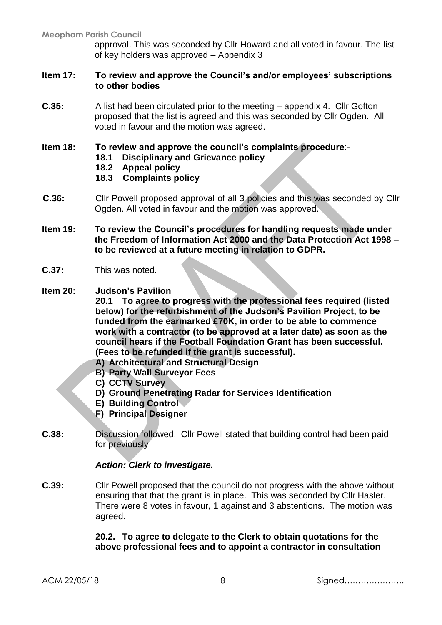approval. This was seconded by Cllr Howard and all voted in favour. The list of key holders was approved – Appendix 3

### **Item 17: To review and approve the Council's and/or employees' subscriptions to other bodies**

- **C.35:** A list had been circulated prior to the meeting appendix 4. Cllr Gofton proposed that the list is agreed and this was seconded by Cllr Ogden. All voted in favour and the motion was agreed.
- **Item 18: To review and approve the council's complaints procedure**:-
	- **18.1 Disciplinary and Grievance policy**
	- **18.2 Appeal policy**
	- **18.3 Complaints policy**
- **C.36:** Cllr Powell proposed approval of all 3 policies and this was seconded by Cllr Ogden. All voted in favour and the motion was approved.
- **Item 19: To review the Council's procedures for handling requests made under the Freedom of Information Act 2000 and the Data Protection Act 1998 – to be reviewed at a future meeting in relation to GDPR.**
- **C.37:** This was noted.
- **Item 20: Judson's Pavilion**

**20.1 To agree to progress with the professional fees required (listed below) for the refurbishment of the Judson's Pavilion Project, to be funded from the earmarked £70K, in order to be able to commence work with a contractor (to be approved at a later date) as soon as the council hears if the Football Foundation Grant has been successful. (Fees to be refunded if the grant is successful).**

- **A) Architectural and Structural Design**
- **B) Party Wall Surveyor Fees**
- **C) CCTV Survey**
- **D) Ground Penetrating Radar for Services Identification**
- **E) Building Control**
- **F) Principal Designer**
- **C.38:** Discussion followed. Cllr Powell stated that building control had been paid for previously

#### *Action: Clerk to investigate.*

**C.39:** Cllr Powell proposed that the council do not progress with the above without ensuring that that the grant is in place. This was seconded by Cllr Hasler. There were 8 votes in favour, 1 against and 3 abstentions. The motion was agreed.

> **20.2. To agree to delegate to the Clerk to obtain quotations for the above professional fees and to appoint a contractor in consultation**

ACM 22/05/18 8 Signed………………….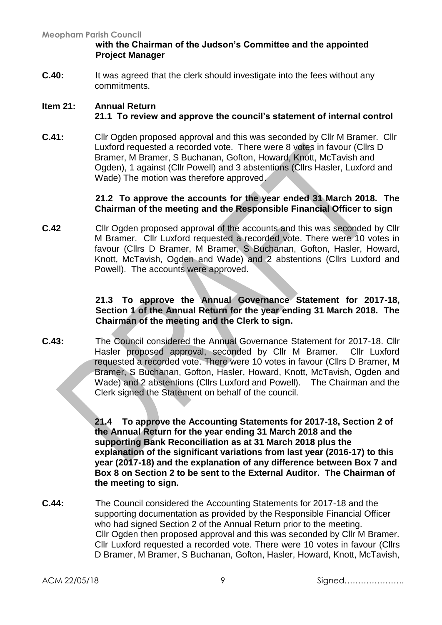### **with the Chairman of the Judson's Committee and the appointed Project Manager**

**C.40:** It was agreed that the clerk should investigate into the fees without any commitments.

# **Item 21: Annual Return 21.1 To review and approve the council's statement of internal control**

**C.41:** Cllr Ogden proposed approval and this was seconded by Cllr M Bramer. Cllr Luxford requested a recorded vote. There were 8 votes in favour (Cllrs D Bramer, M Bramer, S Buchanan, Gofton, Howard, Knott, McTavish and Ogden), 1 against (Cllr Powell) and 3 abstentions (Cllrs Hasler, Luxford and Wade) The motion was therefore approved.

# **21.2 To approve the accounts for the year ended 31 March 2018. The Chairman of the meeting and the Responsible Financial Officer to sign**

**C.42** Cllr Ogden proposed approval of the accounts and this was seconded by Cllr M Bramer. Cllr Luxford requested a recorded vote. There were 10 votes in favour (Cllrs D Bramer, M Bramer, S Buchanan, Gofton, Hasler, Howard, Knott, McTavish, Ogden and Wade) and 2 abstentions (Cllrs Luxford and Powell). The accounts were approved.

#### **21.3 To approve the Annual Governance Statement for 2017-18, Section 1 of the Annual Return for the year ending 31 March 2018. The Chairman of the meeting and the Clerk to sign.**

**C.43:** The Council considered the Annual Governance Statement for 2017-18. Cllr Hasler proposed approval, seconded by Cllr M Bramer. Cllr Luxford requested a recorded vote. There were 10 votes in favour (Cllrs D Bramer, M Bramer, S Buchanan, Gofton, Hasler, Howard, Knott, McTavish, Ogden and Wade) and 2 abstentions (Cllrs Luxford and Powell). The Chairman and the Clerk signed the Statement on behalf of the council.

> **21.4 To approve the Accounting Statements for 2017-18, Section 2 of the Annual Return for the year ending 31 March 2018 and the supporting Bank Reconciliation as at 31 March 2018 plus the explanation of the significant variations from last year (2016-17) to this year (2017-18) and the explanation of any difference between Box 7 and Box 8 on Section 2 to be sent to the External Auditor. The Chairman of the meeting to sign.**

**C.44:** The Council considered the Accounting Statements for 2017-18 and the supporting documentation as provided by the Responsible Financial Officer who had signed Section 2 of the Annual Return prior to the meeting. Cllr Ogden then proposed approval and this was seconded by Cllr M Bramer. Cllr Luxford requested a recorded vote. There were 10 votes in favour (Cllrs D Bramer, M Bramer, S Buchanan, Gofton, Hasler, Howard, Knott, McTavish,

ACM 22/05/18 9 Signed………………….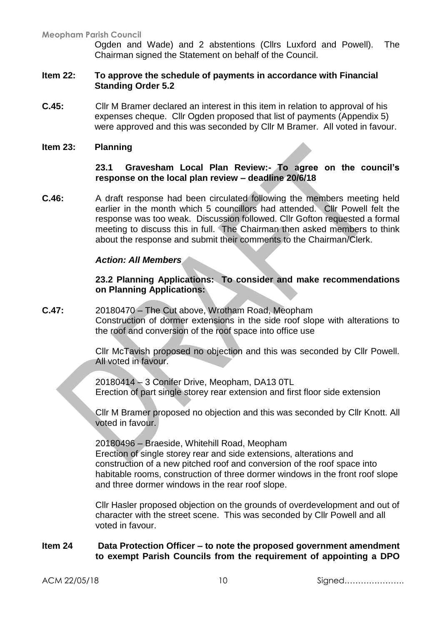Ogden and Wade) and 2 abstentions (Cllrs Luxford and Powell). The Chairman signed the Statement on behalf of the Council.

#### **Item 22: To approve the schedule of payments in accordance with Financial Standing Order 5.2**

**C.45:** Cllr M Bramer declared an interest in this item in relation to approval of his expenses cheque. Cllr Ogden proposed that list of payments (Appendix 5) were approved and this was seconded by Cllr M Bramer. All voted in favour.

#### **Item 23: Planning**

#### **23.1 Gravesham Local Plan Review:- To agree on the council's response on the local plan review – deadline 20/6/18**

**C.46:** A draft response had been circulated following the members meeting held earlier in the month which 5 councillors had attended. Cllr Powell felt the response was too weak. Discussion followed. Cllr Gofton requested a formal meeting to discuss this in full. The Chairman then asked members to think about the response and submit their comments to the Chairman/Clerk.

#### *Action: All Members*

#### **23.2 Planning Applications: To consider and make recommendations on Planning Applications:**

**C.47:** 20180470 – The Cut above, Wrotham Road, Meopham Construction of dormer extensions in the side roof slope with alterations to the roof and conversion of the roof space into office use

> Cllr McTavish proposed no objection and this was seconded by Cllr Powell. All voted in favour.

20180414 – 3 Conifer Drive, Meopham, DA13 0TL Erection of part single storey rear extension and first floor side extension

Cllr M Bramer proposed no objection and this was seconded by Cllr Knott. All voted in favour.

20180496 – Braeside, Whitehill Road, Meopham Erection of single storey rear and side extensions, alterations and construction of a new pitched roof and conversion of the roof space into habitable rooms, construction of three dormer windows in the front roof slope and three dormer windows in the rear roof slope.

Cllr Hasler proposed objection on the grounds of overdevelopment and out of character with the street scene. This was seconded by Cllr Powell and all voted in favour.

#### **Item 24 Data Protection Officer – to note the proposed government amendment to exempt Parish Councils from the requirement of appointing a DPO**

ACM 22/05/18 10 Signed………………….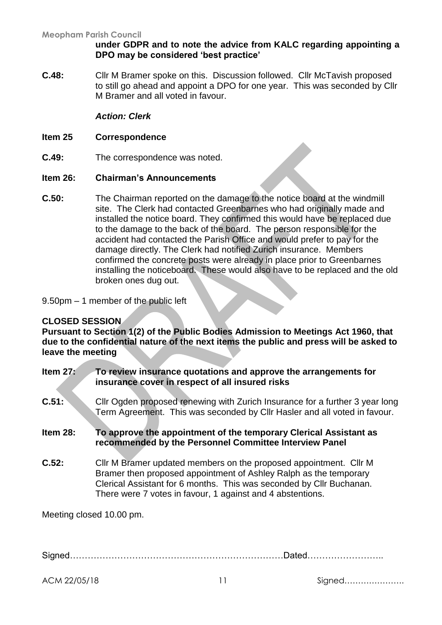#### **under GDPR and to note the advice from KALC regarding appointing a DPO may be considered 'best practice'**

**C.48:** Cllr M Bramer spoke on this. Discussion followed. Cllr McTavish proposed to still go ahead and appoint a DPO for one year. This was seconded by Cllr M Bramer and all voted in favour.

### *Action: Clerk*

### **Item 25 Correspondence**

**C.49:** The correspondence was noted.

#### **Item 26: Chairman's Announcements**

**C.50:** The Chairman reported on the damage to the notice board at the windmill site. The Clerk had contacted Greenbarnes who had originally made and installed the notice board. They confirmed this would have be replaced due to the damage to the back of the board. The person responsible for the accident had contacted the Parish Office and would prefer to pay for the damage directly. The Clerk had notified Zurich insurance. Members confirmed the concrete posts were already in place prior to Greenbarnes installing the noticeboard. These would also have to be replaced and the old broken ones dug out.

9.50pm – 1 member of the public left

# **CLOSED SESSION**

**Pursuant to Section 1(2) of the Public Bodies Admission to Meetings Act 1960, that due to the confidential nature of the next items the public and press will be asked to leave the meeting**

- **Item 27: To review insurance quotations and approve the arrangements for insurance cover in respect of all insured risks**
- **C.51:** Cllr Ogden proposed renewing with Zurich Insurance for a further 3 year long Term Agreement. This was seconded by Cllr Hasler and all voted in favour.

# **Item 28: To approve the appointment of the temporary Clerical Assistant as recommended by the Personnel Committee Interview Panel**

**C.52:** Cllr M Bramer updated members on the proposed appointment. Cllr M Bramer then proposed appointment of Ashley Ralph as the temporary Clerical Assistant for 6 months. This was seconded by Cllr Buchanan. There were 7 votes in favour, 1 against and 4 abstentions.

Meeting closed 10.00 pm.

Signed………………………………………………………………Dated……………………..

ACM 22/05/18 11 Signed………………….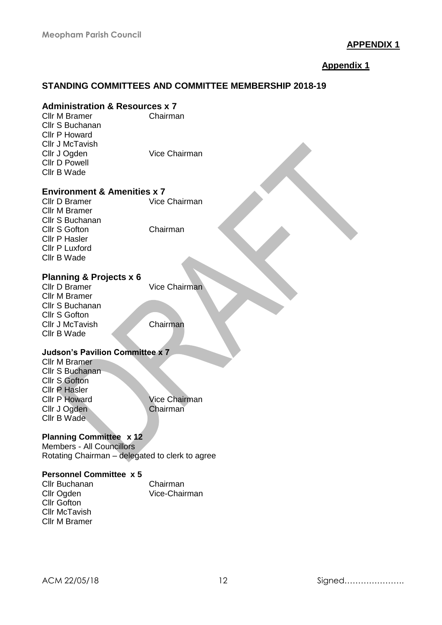# **APPENDIX 1**

# **Appendix 1**

# **STANDING COMMITTEES AND COMMITTEE MEMBERSHIP 2018-19**

# **Administration & Resources x 7**

| <b>Cllr M Bramer</b><br>Cllr S Buchanan<br><b>Cllr P Howard</b><br>Cllr J McTavish   | Chairman             |
|--------------------------------------------------------------------------------------|----------------------|
| Cllr J Ogden<br><b>Cllr D Powell</b><br>Cllr B Wade                                  | Vice Chairman        |
| <b>Environment &amp; Amenities x 7</b>                                               |                      |
| Cllr D Bramer<br><b>Cllr M Bramer</b><br>Cllr S Buchanan                             | Vice Chairman        |
| <b>Cllr S Gofton</b><br><b>Cllr P Hasler</b><br><b>Cllr P Luxford</b><br>Cllr B Wade | Chairman             |
| <b>Planning &amp; Projects x 6</b>                                                   |                      |
| Cllr D Bramer                                                                        | <b>Vice Chairman</b> |
| <b>Cllr M Bramer</b>                                                                 |                      |
| Cllr S Buchanan                                                                      |                      |
| <b>Cllr S Gofton</b>                                                                 |                      |
| Cllr J McTavish                                                                      | Chairman             |
| Cllr B Wade                                                                          |                      |
| <b>Judson's Pavilion Committee x 7</b>                                               |                      |
| <b>Cllr M Bramer</b>                                                                 |                      |
| Cllr S Buchanan                                                                      |                      |
| <b>Cllr S Gofton</b>                                                                 |                      |
| <b>Cllr P Hasler</b><br><b>Cllr P Howard</b>                                         | <b>Vice Chairman</b> |
| Cllr J Ogden                                                                         | Chairman             |
| Cllr B Wade                                                                          |                      |
| <b>Planning Committee x 12</b>                                                       |                      |
| <b>Members - All Councillors</b>                                                     |                      |
| Rotating Chairman - delegated to clerk to agree                                      |                      |
| <b>Personnel Committee x 5</b>                                                       |                      |

| Cllr Buchanan        | Chairman      |
|----------------------|---------------|
| Cllr Ogden           | Vice-Chairman |
| Cllr Gofton          |               |
| <b>Cllr McTavish</b> |               |
| Cllr M Bramer        |               |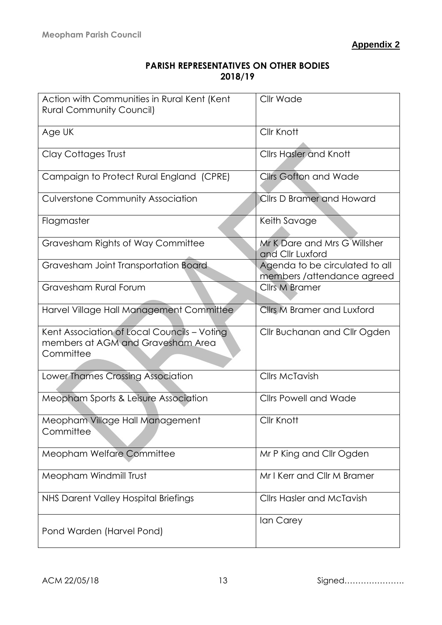| <b>PARISH REPRESENTATIVES ON OTHER BODIES</b> |
|-----------------------------------------------|
| 2018/19                                       |

| Action with Communities in Rural Kent (Kent<br><b>Rural Community Council)</b>                | Cllr Wade                                                     |
|-----------------------------------------------------------------------------------------------|---------------------------------------------------------------|
| Age UK                                                                                        | Cllr Knott                                                    |
| <b>Clay Cottages Trust</b>                                                                    | <b>Cllrs Hasler and Knott</b>                                 |
| Campaign to Protect Rural England (CPRE)                                                      | <b>Cllrs Gofton and Wade</b>                                  |
| <b>Culverstone Community Association</b>                                                      | <b>Cllrs D Bramer and Howard</b>                              |
| Flagmaster                                                                                    | Keith Savage                                                  |
| Gravesham Rights of Way Committee                                                             | Mr K Dare and Mrs G Willsher<br>and Cllr Luxford              |
| Gravesham Joint Transportation Board                                                          | Agenda to be circulated to all<br>members / attendance agreed |
| Gravesham Rural Forum                                                                         | <b>Cllrs M Bramer</b>                                         |
| Harvel Village Hall Management Committee                                                      | <b>Cllrs M Bramer and Luxford</b>                             |
| Kent Association of Local Councils - Voting<br>members at AGM and Gravesham Area<br>Committee | Cllr Buchanan and Cllr Ogden                                  |
| Lower Thames Crossing Association                                                             | <b>Cllrs McTavish</b>                                         |
| Meopham Sports & Leisure Association                                                          | <b>Cllrs Powell and Wade</b>                                  |
| Meopham Village Hall Management<br>Committee                                                  | Cllr Knott                                                    |
| Meopham Welfare Committee                                                                     | Mr P King and Cllr Ogden                                      |
| Meopham Windmill Trust                                                                        | Mr I Kerr and Cllr M Bramer                                   |
| NHS Darent Valley Hospital Briefings                                                          | <b>Cllrs Hasler and McTavish</b>                              |
| Pond Warden (Harvel Pond)                                                                     | Ian Carey                                                     |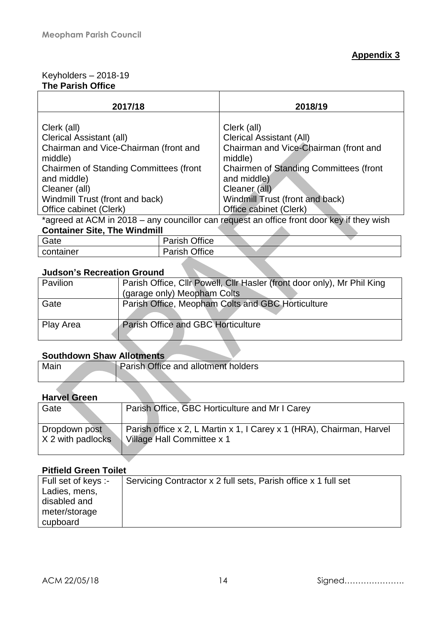#### Keyholders – 2018-19 **The Parish Office**

| 2017/18                                                                                                                                                                                                                                          |                      | 2018/19                                                                                                                                                                                                                                          |  |  |
|--------------------------------------------------------------------------------------------------------------------------------------------------------------------------------------------------------------------------------------------------|----------------------|--------------------------------------------------------------------------------------------------------------------------------------------------------------------------------------------------------------------------------------------------|--|--|
| Clerk (all)<br><b>Clerical Assistant (all)</b><br>Chairman and Vice-Chairman (front and<br>middle)<br><b>Chairmen of Standing Committees (front</b><br>and middle)<br>Cleaner (all)<br>Windmill Trust (front and back)<br>Office cabinet (Clerk) |                      | Clerk (all)<br><b>Clerical Assistant (All)</b><br>Chairman and Vice-Chairman (front and<br>middle)<br><b>Chairmen of Standing Committees (front</b><br>and middle)<br>Cleaner (all)<br>Windmill Trust (front and back)<br>Office cabinet (Clerk) |  |  |
| *agreed at ACM in 2018 – any councillor can request an office front door key if they wish                                                                                                                                                        |                      |                                                                                                                                                                                                                                                  |  |  |
| <b>Container Site, The Windmill</b>                                                                                                                                                                                                              |                      |                                                                                                                                                                                                                                                  |  |  |
| Gate                                                                                                                                                                                                                                             | <b>Parish Office</b> |                                                                                                                                                                                                                                                  |  |  |

#### **Judson's Recreation Ground**

container | Parish Office

| <b>Pavilion</b> | Parish Office, Cllr Powell, Cllr Hasler (front door only), Mr Phil King<br>(garage only) Meopham Colts |
|-----------------|--------------------------------------------------------------------------------------------------------|
| Gate            | Parish Office, Meopham Colts and GBC Horticulture                                                      |
| Play Area       | <b>Parish Office and GBC Horticulture</b>                                                              |

# **Southdown Shaw Allotments**

| Mair | Parish. | Office and allotment holders |  |
|------|---------|------------------------------|--|
|      |         |                              |  |

#### **Harvel Green**

| Gate                | Parish Office, GBC Horticulture and Mr I Carey                       |
|---------------------|----------------------------------------------------------------------|
| Dropdown post       | Parish office x 2, L Martin x 1, I Carey x 1 (HRA), Chairman, Harvel |
| $X$ 2 with padlocks | Village Hall Committee x 1                                           |

# **Pitfield Green Toilet**

| Full set of keys :- | Servicing Contractor x 2 full sets, Parish office x 1 full set |
|---------------------|----------------------------------------------------------------|
| Ladies, mens,       |                                                                |
| disabled and        |                                                                |
| meter/storage       |                                                                |
| cupboard            |                                                                |

ACM 22/05/18 14 Signed………………….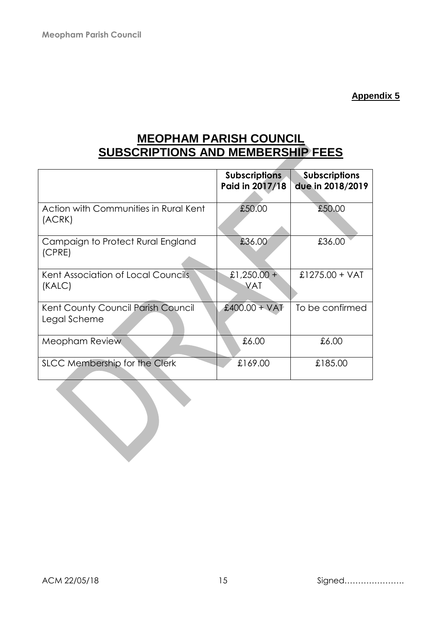**Appendix 5**

# **MEOPHAM PARISH COUNCIL SUBSCRIPTIONS AND MEMBERSHIP FEES**

|                                                    | <b>Subscriptions</b><br>Paid in 2017/18 | <b>Subscriptions</b><br>due in 2018/2019 |
|----------------------------------------------------|-----------------------------------------|------------------------------------------|
| Action with Communities in Rural Kent<br>(ACRK)    | £50.00                                  | £50.00                                   |
| Campaign to Protect Rural England<br>(CPRE)        | £36.00                                  | £36.00                                   |
| Kent Association of Local Councils<br>(KALC)       | £1,250.00 +<br><b>VAT</b>               | £1275.00 + VAT                           |
| Kent County Council Parish Council<br>Legal Scheme | £400.00 + VAT                           | To be confirmed                          |
| Meopham Review                                     | £6.00                                   | £6.00                                    |
| SLCC Membership for the Clerk                      | £169.00                                 | £185.00                                  |